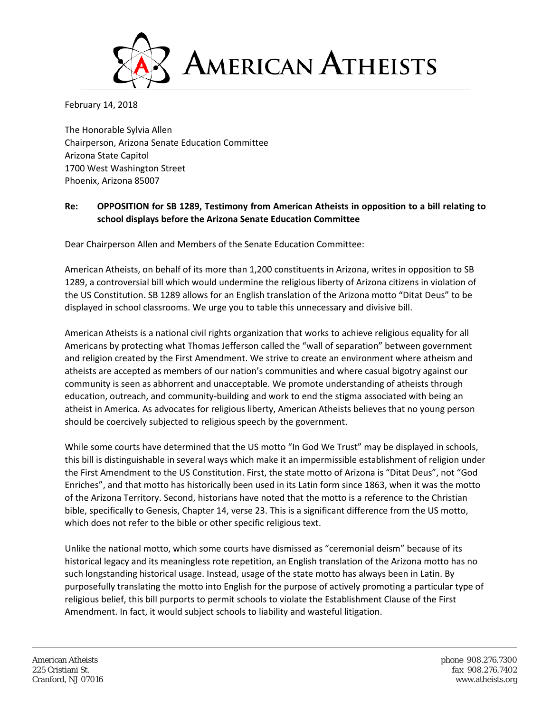

February 14, 2018

The Honorable Sylvia Allen Chairperson, Arizona Senate Education Committee Arizona State Capitol 1700 West Washington Street Phoenix, Arizona 85007

## **Re: OPPOSITION for SB 1289, Testimony from American Atheists in opposition to a bill relating to school displays before the Arizona Senate Education Committee**

Dear Chairperson Allen and Members of the Senate Education Committee:

American Atheists, on behalf of its more than 1,200 constituents in Arizona, writes in opposition to SB 1289, a controversial bill which would undermine the religious liberty of Arizona citizens in violation of the US Constitution. SB 1289 allows for an English translation of the Arizona motto "Ditat Deus" to be displayed in school classrooms. We urge you to table this unnecessary and divisive bill.

American Atheists is a national civil rights organization that works to achieve religious equality for all Americans by protecting what Thomas Jefferson called the "wall of separation" between government and religion created by the First Amendment. We strive to create an environment where atheism and atheists are accepted as members of our nation's communities and where casual bigotry against our community is seen as abhorrent and unacceptable. We promote understanding of atheists through education, outreach, and community-building and work to end the stigma associated with being an atheist in America. As advocates for religious liberty, American Atheists believes that no young person should be coercively subjected to religious speech by the government.

While some courts have determined that the US motto "In God We Trust" may be displayed in schools, this bill is distinguishable in several ways which make it an impermissible establishment of religion under the First Amendment to the US Constitution. First, the state motto of Arizona is "Ditat Deus", not "God Enriches", and that motto has historically been used in its Latin form since 1863, when it was the motto of the Arizona Territory. Second, historians have noted that the motto is a reference to the Christian bible, specifically to Genesis, Chapter 14, verse 23. This is a significant difference from the US motto, which does not refer to the bible or other specific religious text.

Unlike the national motto, which some courts have dismissed as "ceremonial deism" because of its historical legacy and its meaningless rote repetition, an English translation of the Arizona motto has no such longstanding historical usage. Instead, usage of the state motto has always been in Latin. By purposefully translating the motto into English for the purpose of actively promoting a particular type of religious belief, this bill purports to permit schools to violate the Establishment Clause of the First Amendment. In fact, it would subject schools to liability and wasteful litigation.